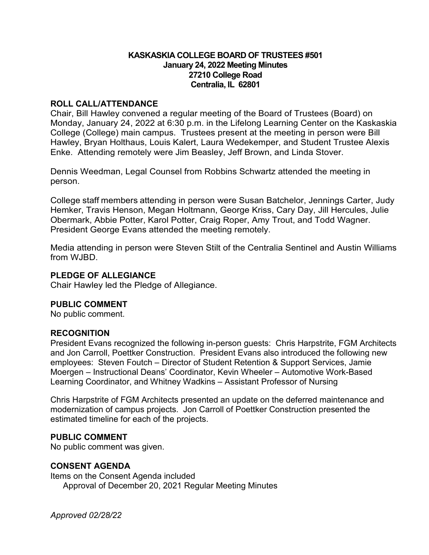### **KASKASKIA COLLEGE BOARD OF TRUSTEES #501 January 24, 2022 Meeting Minutes 27210 College Road Centralia, IL 62801**

### **ROLL CALL/ATTENDANCE**

Chair, Bill Hawley convened a regular meeting of the Board of Trustees (Board) on Monday, January 24, 2022 at 6:30 p.m. in the Lifelong Learning Center on the Kaskaskia College (College) main campus. Trustees present at the meeting in person were Bill Hawley, Bryan Holthaus, Louis Kalert, Laura Wedekemper, and Student Trustee Alexis Enke. Attending remotely were Jim Beasley, Jeff Brown, and Linda Stover.

Dennis Weedman, Legal Counsel from Robbins Schwartz attended the meeting in person.

College staff members attending in person were Susan Batchelor, Jennings Carter, Judy Hemker, Travis Henson, Megan Holtmann, George Kriss, Cary Day, Jill Hercules, Julie Obermark, Abbie Potter, Karol Potter, Craig Roper, Amy Trout, and Todd Wagner. President George Evans attended the meeting remotely.

Media attending in person were Steven Stilt of the Centralia Sentinel and Austin Williams from WJBD.

### **PLEDGE OF ALLEGIANCE**

Chair Hawley led the Pledge of Allegiance.

## **PUBLIC COMMENT**

No public comment.

### **RECOGNITION**

President Evans recognized the following in-person guests: Chris Harpstrite, FGM Architects and Jon Carroll, Poettker Construction. President Evans also introduced the following new employees: Steven Foutch – Director of Student Retention & Support Services, Jamie Moergen – Instructional Deans' Coordinator, Kevin Wheeler – Automotive Work-Based Learning Coordinator, and Whitney Wadkins – Assistant Professor of Nursing

Chris Harpstrite of FGM Architects presented an update on the deferred maintenance and modernization of campus projects. Jon Carroll of Poettker Construction presented the estimated timeline for each of the projects.

### **PUBLIC COMMENT**

No public comment was given.

## **CONSENT AGENDA**

Items on the Consent Agenda included Approval of December 20, 2021 Regular Meeting Minutes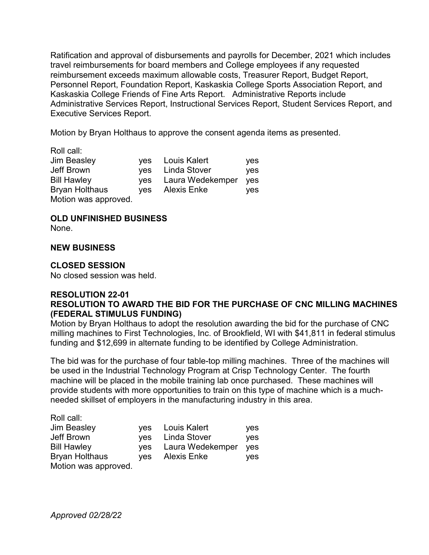Ratification and approval of disbursements and payrolls for December, 2021 which includes travel reimbursements for board members and College employees if any requested reimbursement exceeds maximum allowable costs, Treasurer Report, Budget Report, Personnel Report, Foundation Report, Kaskaskia College Sports Association Report, and Kaskaskia College Friends of Fine Arts Report. Administrative Reports include Administrative Services Report, Instructional Services Report, Student Services Report, and Executive Services Report.

Motion by Bryan Holthaus to approve the consent agenda items as presented.

| Roll call:            |            |                    |     |
|-----------------------|------------|--------------------|-----|
| <b>Jim Beasley</b>    | yes        | Louis Kalert       | yes |
| Jeff Brown            | <b>ves</b> | Linda Stover       | yes |
| <b>Bill Hawley</b>    | <b>ves</b> | Laura Wedekemper   | yes |
| <b>Bryan Holthaus</b> | <b>ves</b> | <b>Alexis Enke</b> | ves |
| Motion was approved.  |            |                    |     |

## **OLD UNFINISHED BUSINESS**

None.

### **NEW BUSINESS**

### **CLOSED SESSION**

No closed session was held.

### **RESOLUTION 22-01 RESOLUTION TO AWARD THE BID FOR THE PURCHASE OF CNC MILLING MACHINES (FEDERAL STIMULUS FUNDING)**

Motion by Bryan Holthaus to adopt the resolution awarding the bid for the purchase of CNC milling machines to First Technologies, Inc. of Brookfield, WI with \$41,811 in federal stimulus funding and \$12,699 in alternate funding to be identified by College Administration.

The bid was for the purchase of four table-top milling machines. Three of the machines will be used in the Industrial Technology Program at Crisp Technology Center. The fourth machine will be placed in the mobile training lab once purchased. These machines will provide students with more opportunities to train on this type of machine which is a muchneeded skillset of employers in the manufacturing industry in this area.

| Roll call:            |            |                  |     |
|-----------------------|------------|------------------|-----|
| Jim Beasley           |            | yes Louis Kalert | yes |
| Jeff Brown            | ves        | Linda Stover     | yes |
| <b>Bill Hawley</b>    | <b>ves</b> | Laura Wedekemper | yes |
| <b>Bryan Holthaus</b> | <b>ves</b> | Alexis Enke      | ves |
| Motion was approved.  |            |                  |     |

*Approved 02/28/22*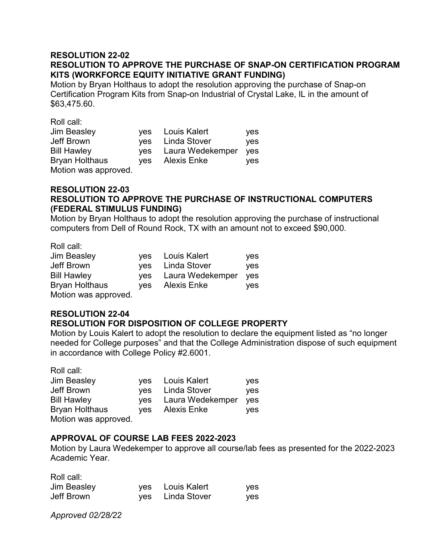## **RESOLUTION 22-02 RESOLUTION TO APPROVE THE PURCHASE OF SNAP-ON CERTIFICATION PROGRAM KITS (WORKFORCE EQUITY INITIATIVE GRANT FUNDING)**

Motion by Bryan Holthaus to adopt the resolution approving the purchase of Snap-on Certification Program Kits from Snap-on Industrial of Crystal Lake, IL in the amount of \$63,475.60.

Roll call:

| Jim Beasley           |     | yes Louis Kalert | yes        |
|-----------------------|-----|------------------|------------|
| Jeff Brown            | ves | Linda Stover     | <b>ves</b> |
| <b>Bill Hawley</b>    | yes | Laura Wedekemper | <b>ves</b> |
| <b>Bryan Holthaus</b> | ves | Alexis Enke      | ves.       |
| Motion was approved.  |     |                  |            |

### **RESOLUTION 22-03 RESOLUTION TO APPROVE THE PURCHASE OF INSTRUCTIONAL COMPUTERS (FEDERAL STIMULUS FUNDING)**

Motion by Bryan Holthaus to adopt the resolution approving the purchase of instructional computers from Dell of Round Rock, TX with an amount not to exceed \$90,000.

Roll call:

| Jim Beasley           |     | yes Louis Kalert | <b>ves</b> |
|-----------------------|-----|------------------|------------|
| Jeff Brown            |     | yes Linda Stover | <b>ves</b> |
| <b>Bill Hawley</b>    | ves | Laura Wedekemper | <b>ves</b> |
| <b>Bryan Holthaus</b> | ves | Alexis Enke      | <b>ves</b> |
| Motion was approved.  |     |                  |            |

#### **RESOLUTION 22-04 RESOLUTION FOR DISPOSITION OF COLLEGE PROPERTY**

Motion by Louis Kalert to adopt the resolution to declare the equipment listed as "no longer needed for College purposes" and that the College Administration dispose of such equipment in accordance with College Policy #2.6001.

Roll call:

| <b>Jim Beasley</b>                            | ves | yes Louis Kalert | <b>ves</b> |
|-----------------------------------------------|-----|------------------|------------|
| Jeff Brown                                    |     | yes Linda Stover | <b>ves</b> |
| <b>Bill Hawley</b>                            |     | Laura Wedekemper | yes        |
| <b>Bryan Holthaus</b><br>Motion was approved. | ves | Alexis Enke      | ves        |

## **APPROVAL OF COURSE LAB FEES 2022-2023**

Motion by Laura Wedekemper to approve all course/lab fees as presented for the 2022-2023 Academic Year.

| Roll call:  |                  |     |
|-------------|------------------|-----|
| Jim Beasley | yes Louis Kalert | yes |
| Jeff Brown  | yes Linda Stover | ves |

*Approved 02/28/22*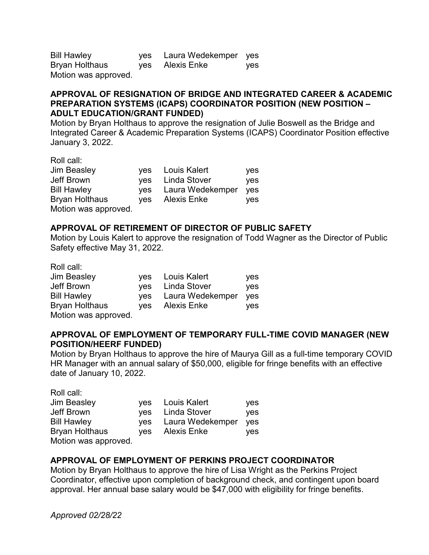| <b>Bill Hawley</b>   | yes Laura Wedekemper yes |            |
|----------------------|--------------------------|------------|
| Bryan Holthaus       | yes Alexis Enke          | <b>ves</b> |
| Motion was approved. |                          |            |

### **APPROVAL OF RESIGNATION OF BRIDGE AND INTEGRATED CAREER & ACADEMIC PREPARATION SYSTEMS (ICAPS) COORDINATOR POSITION (NEW POSITION – ADULT EDUCATION/GRANT FUNDED)**

Motion by Bryan Holthaus to approve the resignation of Julie Boswell as the Bridge and Integrated Career & Academic Preparation Systems (ICAPS) Coordinator Position effective January 3, 2022.

| Roll call:            |            |                  |     |
|-----------------------|------------|------------------|-----|
| Jim Beasley           |            | yes Louis Kalert | yes |
| Jeff Brown            |            | yes Linda Stover | yes |
| <b>Bill Hawley</b>    | ves        | Laura Wedekemper | yes |
| <b>Bryan Holthaus</b> | <b>ves</b> | Alexis Enke      | ves |
| Motion was approved.  |            |                  |     |

## **APPROVAL OF RETIREMENT OF DIRECTOR OF PUBLIC SAFETY**

Motion by Louis Kalert to approve the resignation of Todd Wagner as the Director of Public Safety effective May 31, 2022.

Roll call:

| <b>Jim Beasley</b>    | yes Louis Kalert     | yes |
|-----------------------|----------------------|-----|
| Jeff Brown            | yes Linda Stover     | yes |
| <b>Bill Hawley</b>    | yes Laura Wedekemper | yes |
| <b>Bryan Holthaus</b> | yes Alexis Enke      | yes |
| Motion was approved.  |                      |     |

## **APPROVAL OF EMPLOYMENT OF TEMPORARY FULL-TIME COVID MANAGER (NEW POSITION/HEERF FUNDED)**

Motion by Bryan Holthaus to approve the hire of Maurya Gill as a full-time temporary COVID HR Manager with an annual salary of \$50,000, eligible for fringe benefits with an effective date of January 10, 2022.

| Roll call:            |     |                  |     |
|-----------------------|-----|------------------|-----|
| <b>Jim Beasley</b>    |     | yes Louis Kalert | yes |
| Jeff Brown            |     | ves Linda Stover | yes |
| <b>Bill Hawley</b>    | yes | Laura Wedekemper | yes |
| <b>Bryan Holthaus</b> | ves | Alexis Enke      | ves |
| Motion was approved.  |     |                  |     |

## **APPROVAL OF EMPLOYMENT OF PERKINS PROJECT COORDINATOR**

Motion by Bryan Holthaus to approve the hire of Lisa Wright as the Perkins Project Coordinator, effective upon completion of background check, and contingent upon board approval. Her annual base salary would be \$47,000 with eligibility for fringe benefits.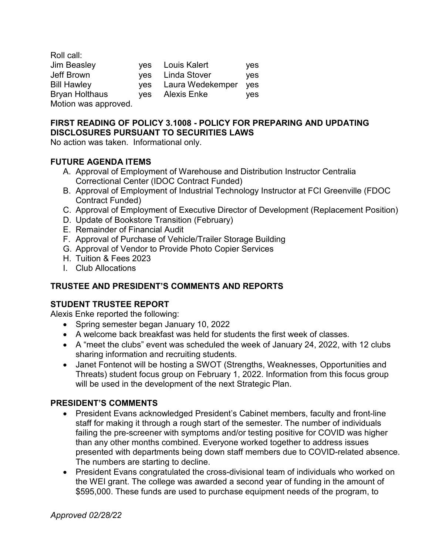| Roll call:            |            |                     |     |
|-----------------------|------------|---------------------|-----|
| <b>Jim Beasley</b>    | ves        | Louis Kalert        | yes |
| Jeff Brown            | <b>ves</b> | <b>Linda Stover</b> | yes |
| <b>Bill Hawley</b>    | <b>ves</b> | Laura Wedekemper    | yes |
| <b>Bryan Holthaus</b> | <b>ves</b> | Alexis Enke         | ves |
| Motion was approved.  |            |                     |     |

# **FIRST READING OF POLICY 3.1008 - POLICY FOR PREPARING AND UPDATING DISCLOSURES PURSUANT TO SECURITIES LAWS**

No action was taken. Informational only.

# **FUTURE AGENDA ITEMS**

- A. Approval of Employment of Warehouse and Distribution Instructor Centralia Correctional Center (IDOC Contract Funded)
- B. Approval of Employment of Industrial Technology Instructor at FCI Greenville (FDOC Contract Funded)
- C. Approval of Employment of Executive Director of Development (Replacement Position)
- D. Update of Bookstore Transition (February)
- E. Remainder of Financial Audit
- F. Approval of Purchase of Vehicle/Trailer Storage Building
- G. Approval of Vendor to Provide Photo Copier Services
- H. Tuition & Fees 2023
- I. Club Allocations

# **TRUSTEE AND PRESIDENT'S COMMENTS AND REPORTS**

# **STUDENT TRUSTEE REPORT**

Alexis Enke reported the following:

- Spring semester began January 10, 2022
- A welcome back breakfast was held for students the first week of classes.
- A "meet the clubs" event was scheduled the week of January 24, 2022, with 12 clubs sharing information and recruiting students.
- Janet Fontenot will be hosting a SWOT (Strengths, Weaknesses, Opportunities and Threats) student focus group on February 1, 2022. Information from this focus group will be used in the development of the next Strategic Plan.

# **PRESIDENT'S COMMENTS**

- President Evans acknowledged President's Cabinet members, faculty and front-line staff for making it through a rough start of the semester. The number of individuals failing the pre-screener with symptoms and/or testing positive for COVID was higher than any other months combined. Everyone worked together to address issues presented with departments being down staff members due to COVID-related absence. The numbers are starting to decline.
- President Evans congratulated the cross-divisional team of individuals who worked on the WEI grant. The college was awarded a second year of funding in the amount of \$595,000. These funds are used to purchase equipment needs of the program, to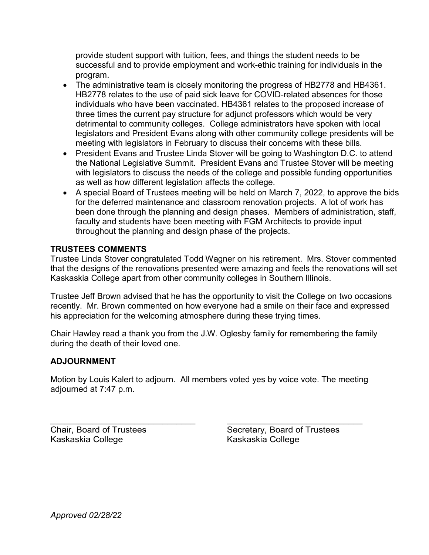provide student support with tuition, fees, and things the student needs to be successful and to provide employment and work-ethic training for individuals in the program.

- The administrative team is closely monitoring the progress of HB2778 and HB4361. HB2778 relates to the use of paid sick leave for COVID-related absences for those individuals who have been vaccinated. HB4361 relates to the proposed increase of three times the current pay structure for adjunct professors which would be very detrimental to community colleges. College administrators have spoken with local legislators and President Evans along with other community college presidents will be meeting with legislators in February to discuss their concerns with these bills.
- President Evans and Trustee Linda Stover will be going to Washington D.C. to attend the National Legislative Summit. President Evans and Trustee Stover will be meeting with legislators to discuss the needs of the college and possible funding opportunities as well as how different legislation affects the college.
- A special Board of Trustees meeting will be held on March 7, 2022, to approve the bids for the deferred maintenance and classroom renovation projects. A lot of work has been done through the planning and design phases. Members of administration, staff, faculty and students have been meeting with FGM Architects to provide input throughout the planning and design phase of the projects.

# **TRUSTEES COMMENTS**

Trustee Linda Stover congratulated Todd Wagner on his retirement. Mrs. Stover commented that the designs of the renovations presented were amazing and feels the renovations will set Kaskaskia College apart from other community colleges in Southern Illinois.

Trustee Jeff Brown advised that he has the opportunity to visit the College on two occasions recently. Mr. Brown commented on how everyone had a smile on their face and expressed his appreciation for the welcoming atmosphere during these trying times.

Chair Hawley read a thank you from the J.W. Oglesby family for remembering the family during the death of their loved one.

# **ADJOURNMENT**

Motion by Louis Kalert to adjourn. All members voted yes by voice vote. The meeting adjourned at 7:47 p.m.

\_\_\_\_\_\_\_\_\_\_\_\_\_\_\_\_\_\_\_\_\_\_\_\_\_\_\_\_\_\_\_ \_\_\_\_\_\_\_\_\_\_\_\_\_\_\_\_\_\_\_\_\_\_\_\_\_\_\_\_\_ Kaskaskia College

Chair, Board of Trustees Secretary, Board of Trustees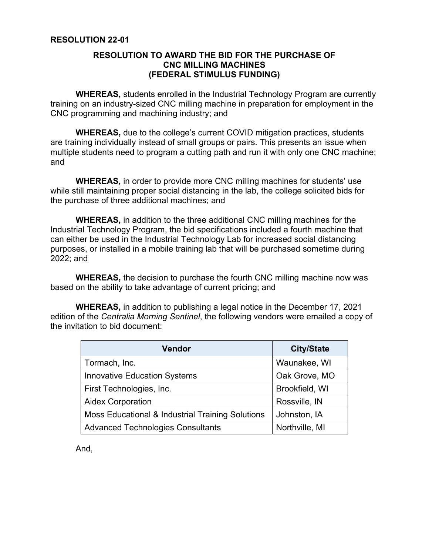### **RESOLUTION TO AWARD THE BID FOR THE PURCHASE OF CNC MILLING MACHINES (FEDERAL STIMULUS FUNDING)**

**WHEREAS,** students enrolled in the Industrial Technology Program are currently training on an industry-sized CNC milling machine in preparation for employment in the CNC programming and machining industry; and

**WHEREAS,** due to the college's current COVID mitigation practices, students are training individually instead of small groups or pairs. This presents an issue when multiple students need to program a cutting path and run it with only one CNC machine; and

 **WHEREAS,** in order to provide more CNC milling machines for students' use while still maintaining proper social distancing in the lab, the college solicited bids for the purchase of three additional machines; and

 **WHEREAS,** in addition to the three additional CNC milling machines for the Industrial Technology Program, the bid specifications included a fourth machine that can either be used in the Industrial Technology Lab for increased social distancing purposes, or installed in a mobile training lab that will be purchased sometime during 2022; and

**WHEREAS,** the decision to purchase the fourth CNC milling machine now was based on the ability to take advantage of current pricing; and

 **WHEREAS,** in addition to publishing a legal notice in the December 17, 2021 edition of the *Centralia Morning Sentinel*, the following vendors were emailed a copy of the invitation to bid document:

| <b>Vendor</b>                                    | <b>City/State</b> |
|--------------------------------------------------|-------------------|
| Tormach, Inc.                                    | Waunakee, WI      |
| <b>Innovative Education Systems</b>              | Oak Grove, MO     |
| First Technologies, Inc.                         | Brookfield, WI    |
| <b>Aidex Corporation</b>                         | Rossville, IN     |
| Moss Educational & Industrial Training Solutions | Johnston, IA      |
| <b>Advanced Technologies Consultants</b>         | Northville, MI    |

And,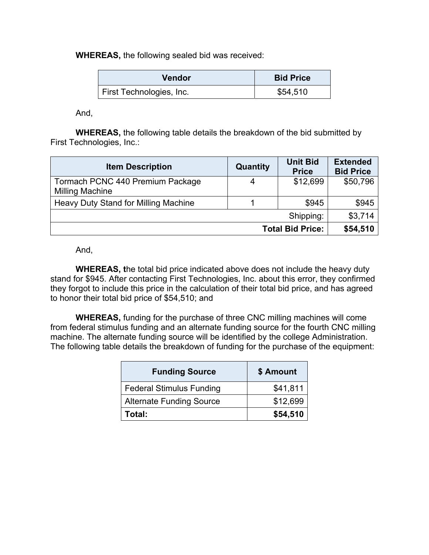**WHEREAS,** the following sealed bid was received:

| <b>Vendor</b>            | <b>Bid Price</b> |
|--------------------------|------------------|
| First Technologies, Inc. | \$54,510         |

And,

**WHEREAS,** the following table details the breakdown of the bid submitted by First Technologies, Inc.:

| <b>Item Description</b>              | Quantity | <b>Unit Bid</b><br><b>Price</b> | <b>Extended</b><br><b>Bid Price</b> |
|--------------------------------------|----------|---------------------------------|-------------------------------------|
| Tormach PCNC 440 Premium Package     | 4        | \$12,699                        | \$50,796                            |
| <b>Milling Machine</b>               |          |                                 |                                     |
| Heavy Duty Stand for Milling Machine |          | \$945                           | \$945                               |
|                                      |          | Shipping:                       | \$3,714                             |
|                                      |          | <b>Total Bid Price:</b>         | \$54,510                            |

And,

**WHEREAS, t**he total bid price indicated above does not include the heavy duty stand for \$945. After contacting First Technologies, Inc. about this error, they confirmed they forgot to include this price in the calculation of their total bid price, and has agreed to honor their total bid price of \$54,510; and

**WHEREAS,** funding for the purchase of three CNC milling machines will come from federal stimulus funding and an alternate funding source for the fourth CNC milling machine. The alternate funding source will be identified by the college Administration. The following table details the breakdown of funding for the purchase of the equipment:

| <b>Funding Source</b>           | \$ Amount |
|---------------------------------|-----------|
| <b>Federal Stimulus Funding</b> | \$41,811  |
| <b>Alternate Funding Source</b> | \$12,699  |
| Total:                          | \$54,510  |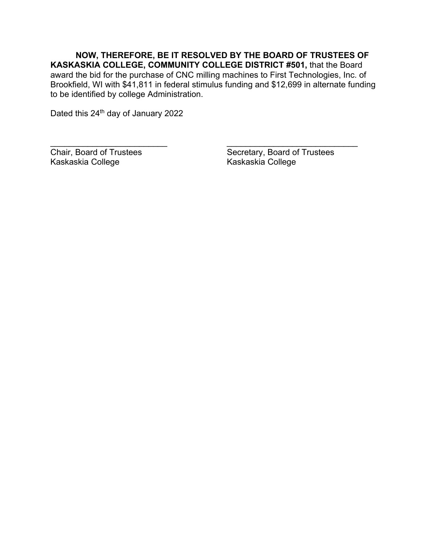**NOW, THEREFORE, BE IT RESOLVED BY THE BOARD OF TRUSTEES OF KASKASKIA COLLEGE, COMMUNITY COLLEGE DISTRICT #501,** that the Board award the bid for the purchase of CNC milling machines to First Technologies, Inc. of Brookfield, WI with \$41,811 in federal stimulus funding and \$12,699 in alternate funding to be identified by college Administration.

 $\overline{\phantom{a}}$  , and the contract of the contract of the contract of the contract of the contract of the contract of the contract of the contract of the contract of the contract of the contract of the contract of the contrac

Dated this 24<sup>th</sup> day of January 2022

Chair, Board of Trustees<br>
Kaskaskia College<br>
Kaskaskia College<br>
Kaskaskia College<br>
Kaskaskia College Kaskaskia College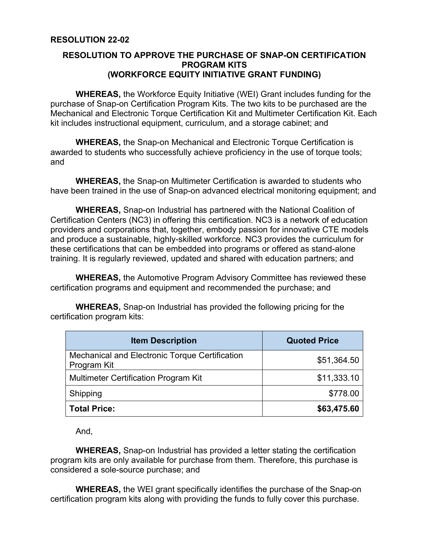## **RESOLUTION TO APPROVE THE PURCHASE OF SNAP-ON CERTIFICATION PROGRAM KITS (WORKFORCE EQUITY INITIATIVE GRANT FUNDING)**

**WHEREAS,** the Workforce Equity Initiative (WEI) Grant includes funding for the purchase of Snap-on Certification Program Kits. The two kits to be purchased are the Mechanical and Electronic Torque Certification Kit and Multimeter Certification Kit. Each kit includes instructional equipment, curriculum, and a storage cabinet; and

**WHEREAS,** the Snap-on Mechanical and Electronic Torque Certification is awarded to students who successfully achieve proficiency in the use of torque tools; and

 **WHEREAS,** the Snap-on Multimeter Certification is awarded to students who have been trained in the use of Snap-on advanced electrical monitoring equipment; and

 **WHEREAS,** Snap-on Industrial has partnered with the National Coalition of Certification Centers (NC3) in offering this certification. NC3 is a network of education providers and corporations that, together, embody passion for innovative CTE models and produce a sustainable, highly-skilled workforce. NC3 provides the curriculum for these certifications that can be embedded into programs or offered as stand-alone training. It is regularly reviewed, updated and shared with education partners; and

**WHEREAS,** the Automotive Program Advisory Committee has reviewed these certification programs and equipment and recommended the purchase; and

 **WHEREAS,** Snap-on Industrial has provided the following pricing for the certification program kits:

| <b>Item Description</b>                                       | <b>Quoted Price</b> |
|---------------------------------------------------------------|---------------------|
| Mechanical and Electronic Torque Certification<br>Program Kit | \$51,364.50         |
| <b>Multimeter Certification Program Kit</b>                   | \$11,333.10         |
| Shipping                                                      | \$778.00            |
| <b>Total Price:</b>                                           | \$63,475.60         |

And,

**WHEREAS,** Snap-on Industrial has provided a letter stating the certification program kits are only available for purchase from them. Therefore, this purchase is considered a sole-source purchase; and

**WHEREAS,** the WEI grant specifically identifies the purchase of the Snap-on certification program kits along with providing the funds to fully cover this purchase.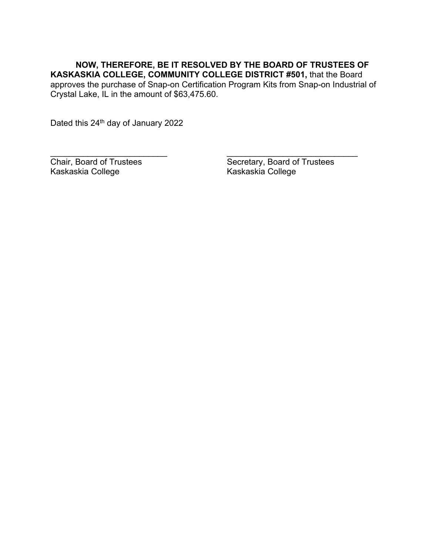**NOW, THEREFORE, BE IT RESOLVED BY THE BOARD OF TRUSTEES OF KASKASKIA COLLEGE, COMMUNITY COLLEGE DISTRICT #501,** that the Board approves the purchase of Snap-on Certification Program Kits from Snap-on Industrial of Crystal Lake, IL in the amount of \$63,475.60.

 $\overline{\phantom{a}}$  , and the contract of the contract of the contract of the contract of the contract of the contract of the contract of the contract of the contract of the contract of the contract of the contract of the contrac

Dated this 24<sup>th</sup> day of January 2022

Chair, Board of Trustees<br>
Kaskaskia College<br>
Kaskaskia College<br>
Kaskaskia College<br>
Kaskaskia College Kaskaskia College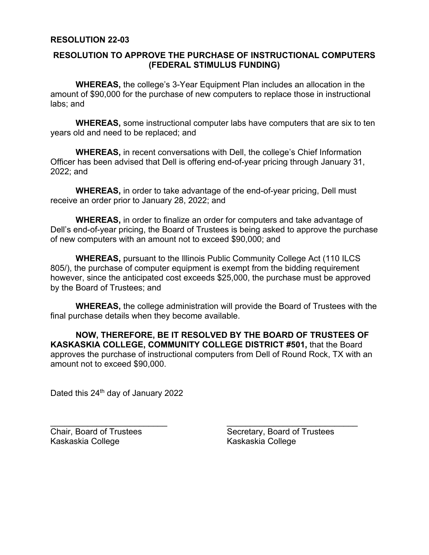### **RESOLUTION 22-03**

### **RESOLUTION TO APPROVE THE PURCHASE OF INSTRUCTIONAL COMPUTERS (FEDERAL STIMULUS FUNDING)**

**WHEREAS,** the college's 3-Year Equipment Plan includes an allocation in the amount of \$90,000 for the purchase of new computers to replace those in instructional labs; and

**WHEREAS,** some instructional computer labs have computers that are six to ten years old and need to be replaced; and

 **WHEREAS,** in recent conversations with Dell, the college's Chief Information Officer has been advised that Dell is offering end-of-year pricing through January 31, 2022; and

 **WHEREAS,** in order to take advantage of the end-of-year pricing, Dell must receive an order prior to January 28, 2022; and

**WHEREAS,** in order to finalize an order for computers and take advantage of Dell's end-of-year pricing, the Board of Trustees is being asked to approve the purchase of new computers with an amount not to exceed \$90,000; and

 **WHEREAS,** pursuant to the Illinois Public Community College Act (110 ILCS 805/), the purchase of computer equipment is exempt from the bidding requirement however, since the anticipated cost exceeds \$25,000, the purchase must be approved by the Board of Trustees; and

 **WHEREAS,** the college administration will provide the Board of Trustees with the final purchase details when they become available.

 **NOW, THEREFORE, BE IT RESOLVED BY THE BOARD OF TRUSTEES OF KASKASKIA COLLEGE, COMMUNITY COLLEGE DISTRICT #501,** that the Board approves the purchase of instructional computers from Dell of Round Rock, TX with an amount not to exceed \$90,000.

 $\overline{\phantom{a}}$  , and the contract of the contract of the contract of the contract of the contract of the contract of the contract of the contract of the contract of the contract of the contract of the contract of the contrac

Dated this 24<sup>th</sup> day of January 2022

Kaskaskia College Kaskaskia College

Chair, Board of Trustees Secretary, Board of Trustees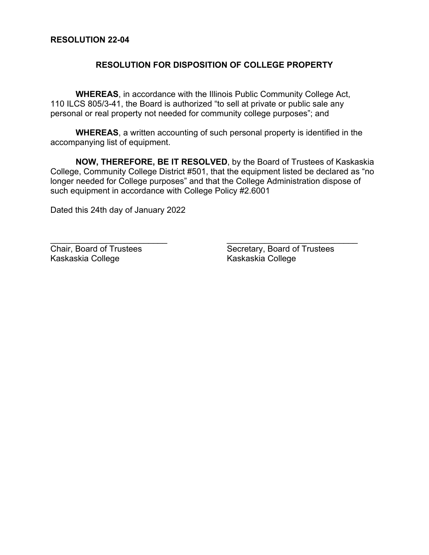### **RESOLUTION 22-04**

## **RESOLUTION FOR DISPOSITION OF COLLEGE PROPERTY**

**WHEREAS**, in accordance with the Illinois Public Community College Act, 110 ILCS 805/3-41, the Board is authorized "to sell at private or public sale any personal or real property not needed for community college purposes"; and

**WHEREAS**, a written accounting of such personal property is identified in the accompanying list of equipment.

**NOW, THEREFORE, BE IT RESOLVED**, by the Board of Trustees of Kaskaskia College, Community College District #501, that the equipment listed be declared as "no longer needed for College purposes" and that the College Administration dispose of such equipment in accordance with College Policy #2.6001

 $\frac{1}{2}$  ,  $\frac{1}{2}$  ,  $\frac{1}{2}$  ,  $\frac{1}{2}$  ,  $\frac{1}{2}$  ,  $\frac{1}{2}$  ,  $\frac{1}{2}$  ,  $\frac{1}{2}$  ,  $\frac{1}{2}$  ,  $\frac{1}{2}$  ,  $\frac{1}{2}$  ,  $\frac{1}{2}$  ,  $\frac{1}{2}$  ,  $\frac{1}{2}$  ,  $\frac{1}{2}$  ,  $\frac{1}{2}$  ,  $\frac{1}{2}$  ,  $\frac{1}{2}$  ,  $\frac{1$ 

Dated this 24th day of January 2022

Chair, Board of Trustees<br>
Kaskaskia College<br>
Kaskaskia College<br>
Kaskaskia College Kaskaskia College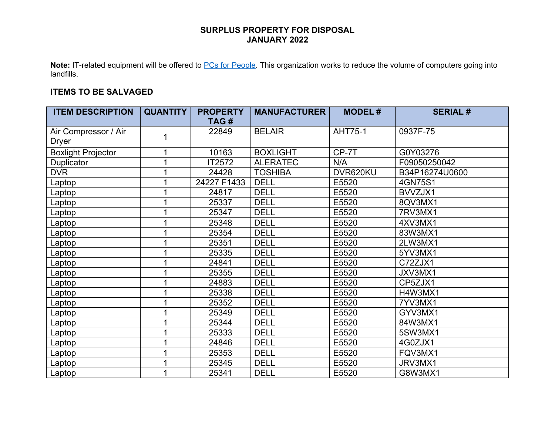**Note:** IT-related equipment will be offered to PCs for People. This organization works to reduce the volume of computers going into landfills.

## **ITEMS TO BE SALVAGED**

| <b>ITEM DESCRIPTION</b>       | <b>QUANTITY</b> | <b>PROPERTY</b><br>TAG# | <b>MANUFACTURER</b> | <b>MODEL#</b>  | <b>SERIAL#</b> |
|-------------------------------|-----------------|-------------------------|---------------------|----------------|----------------|
| Air Compressor / Air<br>Dryer |                 | 22849                   | <b>BELAIR</b>       | <b>AHT75-1</b> | 0937F-75       |
| <b>Boxlight Projector</b>     |                 | 10163                   | <b>BOXLIGHT</b>     | CP-7T          | G0Y03276       |
| Duplicator                    |                 | IT2572                  | <b>ALERATEC</b>     | N/A            | F09050250042   |
| <b>DVR</b>                    |                 | 24428                   | <b>TOSHIBA</b>      | DVR620KU       | B34P16274U0600 |
| Laptop                        |                 | 24227 F1433             | <b>DELL</b>         | E5520          | 4GN75S1        |
| Laptop                        |                 | 24817                   | <b>DELL</b>         | E5520          | BVVZJX1        |
| Laptop                        |                 | 25337                   | <b>DELL</b>         | E5520          | 8QV3MX1        |
| Laptop                        |                 | 25347                   | <b>DELL</b>         | E5520          | 7RV3MX1        |
| Laptop                        |                 | 25348                   | <b>DELL</b>         | E5520          | 4XV3MX1        |
| Laptop                        |                 | 25354                   | <b>DELL</b>         | E5520          | 83W3MX1        |
| Laptop                        |                 | 25351                   | <b>DELL</b>         | E5520          | 2LW3MX1        |
| Laptop                        |                 | 25335                   | <b>DELL</b>         | E5520          | 5YV3MX1        |
| Laptop                        |                 | 24841                   | <b>DELL</b>         | E5520          | C72ZJX1        |
| Laptop                        |                 | 25355                   | <b>DELL</b>         | E5520          | JXV3MX1        |
| Laptop                        |                 | 24883                   | <b>DELL</b>         | E5520          | CP5ZJX1        |
| Laptop                        |                 | 25338                   | <b>DELL</b>         | E5520          | H4W3MX1        |
| Laptop                        |                 | 25352                   | <b>DELL</b>         | E5520          | 7YV3MX1        |
| Laptop                        |                 | 25349                   | <b>DELL</b>         | E5520          | GYV3MX1        |
| Laptop                        |                 | 25344                   | <b>DELL</b>         | E5520          | 84W3MX1        |
| Laptop                        |                 | 25333                   | <b>DELL</b>         | E5520          | 5SW3MX1        |
| Laptop                        |                 | 24846                   | <b>DELL</b>         | E5520          | 4G0ZJX1        |
| Laptop                        |                 | 25353                   | <b>DELL</b>         | E5520          | FQV3MX1        |
| Laptop                        |                 | 25345                   | <b>DELL</b>         | E5520          | JRV3MX1        |
| Laptop                        |                 | 25341                   | <b>DELL</b>         | E5520          | G8W3MX1        |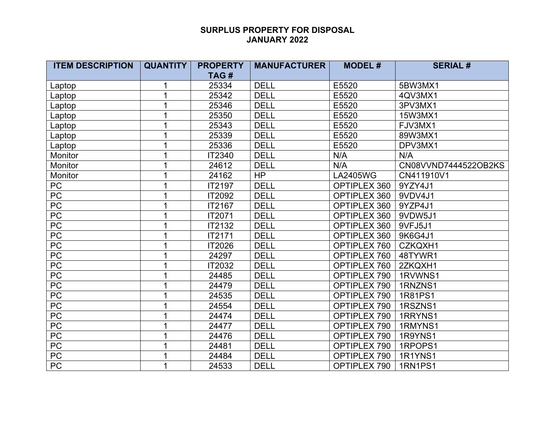| <b>ITEM DESCRIPTION</b> | <b>QUANTITY</b> | <b>PROPERTY</b> | <b>MANUFACTURER</b> | <b>MODEL#</b>       | <b>SERIAL#</b>       |
|-------------------------|-----------------|-----------------|---------------------|---------------------|----------------------|
|                         |                 | TAG#            |                     |                     |                      |
| Laptop                  | 1               | 25334           | <b>DELL</b>         | E5520               | 5BW3MX1              |
| Laptop                  | 1               | 25342           | <b>DELL</b>         | E5520               | 4QV3MX1              |
| Laptop                  | 1               | 25346           | <b>DELL</b>         | E5520               | 3PV3MX1              |
| Laptop                  |                 | 25350           | <b>DELL</b>         | E5520               | 15W3MX1              |
| Laptop                  |                 | 25343           | <b>DELL</b>         | E5520               | FJV3MX1              |
| Laptop                  | 1               | 25339           | <b>DELL</b>         | E5520               | 89W3MX1              |
| Laptop                  |                 | 25336           | <b>DELL</b>         | E5520               | DPV3MX1              |
| Monitor                 | 1               | IT2340          | <b>DELL</b>         | N/A                 | N/A                  |
| Monitor                 |                 | 24612           | <b>DELL</b>         | N/A                 | CN08VVND7444522OB2KS |
| Monitor                 |                 | 24162           | <b>HP</b>           | <b>LA2405WG</b>     | CN411910V1           |
| PC                      |                 | IT2197          | <b>DELL</b>         | OPTIPLEX 360        | 9YZY4J1              |
| PC                      |                 | IT2092          | <b>DELL</b>         | OPTIPLEX 360        | 9VDV4J1              |
| PC                      | 1               | IT2167          | <b>DELL</b>         | OPTIPLEX 360        | 9YZP4J1              |
| PC                      |                 | IT2071          | <b>DELL</b>         | <b>OPTIPLEX 360</b> | 9VDW5J1              |
| PC                      |                 | IT2132          | <b>DELL</b>         | OPTIPLEX 360        | 9VFJ5J1              |
| PC                      |                 | IT2171          | <b>DELL</b>         | OPTIPLEX 360        | 9K6G4J1              |
| PC                      |                 | IT2026          | <b>DELL</b>         | OPTIPLEX 760        | CZKQXH1              |
| PC                      | 1               | 24297           | <b>DELL</b>         | OPTIPLEX 760        | 48TYWR1              |
| <b>PC</b>               |                 | IT2032          | <b>DELL</b>         | OPTIPLEX 760        | 2ZKQXH1              |
| PC                      |                 | 24485           | <b>DELL</b>         | OPTIPLEX 790        | 1RVWNS1              |
| PC                      |                 | 24479           | <b>DELL</b>         | OPTIPLEX 790        | 1RNZNS1              |
| PC                      | 1               | 24535           | <b>DELL</b>         | OPTIPLEX 790        | 1R81PS1              |
| PC                      | 1               | 24554           | <b>DELL</b>         | OPTIPLEX 790        | 1RSZNS1              |
| PC                      |                 | 24474           | <b>DELL</b>         | OPTIPLEX 790        | 1RRYNS1              |
| PC                      |                 | 24477           | <b>DELL</b>         | OPTIPLEX 790        | 1RMYNS1              |
| PC                      |                 | 24476           | <b>DELL</b>         | OPTIPLEX 790        | 1R9YNS1              |
| PC                      | 1               | 24481           | <b>DELL</b>         | OPTIPLEX 790        | 1RPOPS1              |
| PC                      | 1               | 24484           | <b>DELL</b>         | OPTIPLEX 790        | 1R1YNS1              |
| $\overline{PC}$         | 1               | 24533           | <b>DELL</b>         | OPTIPLEX 790        | 1RN1PS1              |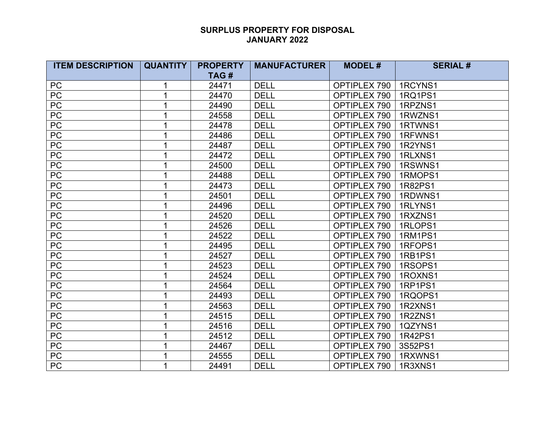| <b>ITEM DESCRIPTION</b> | <b>QUANTITY</b> | <b>PROPERTY</b> | <b>MANUFACTURER</b> | <b>MODEL#</b> | <b>SERIAL#</b> |
|-------------------------|-----------------|-----------------|---------------------|---------------|----------------|
|                         |                 | TAG#            |                     |               |                |
| <b>PC</b>               | 1               | 24471           | <b>DELL</b>         | OPTIPLEX 790  | 1RCYNS1        |
| PC                      | 1               | 24470           | <b>DELL</b>         | OPTIPLEX 790  | 1RQ1PS1        |
| PC                      |                 | 24490           | <b>DELL</b>         | OPTIPLEX 790  | 1RPZNS1        |
| PC                      |                 | 24558           | <b>DELL</b>         | OPTIPLEX 790  | 1RWZNS1        |
| PC                      |                 | 24478           | <b>DELL</b>         | OPTIPLEX 790  | 1RTWNS1        |
| PC                      |                 | 24486           | <b>DELL</b>         | OPTIPLEX 790  | 1RFWNS1        |
| PC                      | 1               | 24487           | <b>DELL</b>         | OPTIPLEX 790  | 1R2YNS1        |
| PC                      | 1               | 24472           | <b>DELL</b>         | OPTIPLEX 790  | 1RLXNS1        |
| PC                      |                 | 24500           | <b>DELL</b>         | OPTIPLEX 790  | 1RSWNS1        |
| PC                      |                 | 24488           | <b>DELL</b>         | OPTIPLEX 790  | 1RMOPS1        |
| PC                      |                 | 24473           | <b>DELL</b>         | OPTIPLEX 790  | 1R82PS1        |
| PC                      |                 | 24501           | <b>DELL</b>         | OPTIPLEX 790  | 1RDWNS1        |
| PC                      |                 | 24496           | <b>DELL</b>         | OPTIPLEX 790  | 1RLYNS1        |
| PC                      |                 | 24520           | <b>DELL</b>         | OPTIPLEX 790  | 1RXZNS1        |
| PC                      |                 | 24526           | <b>DELL</b>         | OPTIPLEX 790  | 1RLOPS1        |
| PC                      |                 | 24522           | <b>DELL</b>         | OPTIPLEX 790  | 1RM1PS1        |
| PC                      |                 | 24495           | <b>DELL</b>         | OPTIPLEX 790  | 1RFOPS1        |
| PC                      |                 | 24527           | <b>DELL</b>         | OPTIPLEX 790  | 1RB1PS1        |
| PC                      |                 | 24523           | <b>DELL</b>         | OPTIPLEX 790  | 1RSOPS1        |
| PC                      |                 | 24524           | <b>DELL</b>         | OPTIPLEX 790  | 1ROXNS1        |
| PC                      |                 | 24564           | <b>DELL</b>         | OPTIPLEX 790  | 1RP1PS1        |
| PC                      | 1               | 24493           | <b>DELL</b>         | OPTIPLEX 790  | 1RQOPS1        |
| <b>PC</b>               |                 | 24563           | <b>DELL</b>         | OPTIPLEX 790  | 1R2XNS1        |
| PC                      |                 | 24515           | <b>DELL</b>         | OPTIPLEX 790  | 1R2ZNS1        |
| PC                      |                 | 24516           | <b>DELL</b>         | OPTIPLEX 790  | 1QZYNS1        |
| PC                      |                 | 24512           | <b>DELL</b>         | OPTIPLEX 790  | 1R42PS1        |
| PC                      |                 | 24467           | <b>DELL</b>         | OPTIPLEX 790  | 3S52PS1        |
| PC                      |                 | 24555           | <b>DELL</b>         | OPTIPLEX 790  | 1RXWNS1        |
| <b>PC</b>               |                 | 24491           | <b>DELL</b>         | OPTIPLEX 790  | 1R3XNS1        |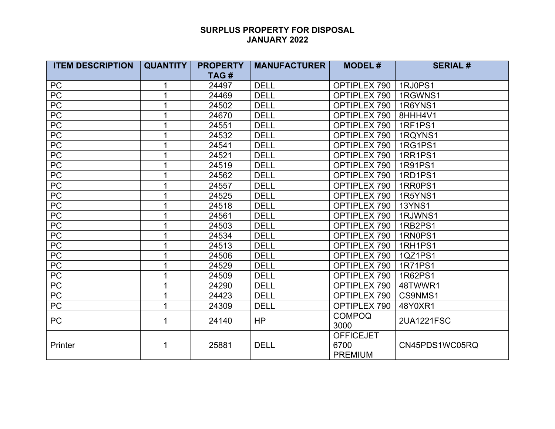| <b>ITEM DESCRIPTION</b> | <b>QUANTITY</b> | <b>PROPERTY</b> | <b>MANUFACTURER</b> | <b>MODEL#</b>                              | <b>SERIAL#</b> |
|-------------------------|-----------------|-----------------|---------------------|--------------------------------------------|----------------|
|                         |                 | TAG#            |                     |                                            |                |
| PC                      |                 | 24497           | <b>DELL</b>         | OPTIPLEX 790                               | 1RJ0PS1        |
| PC                      |                 | 24469           | <b>DELL</b>         | OPTIPLEX 790                               | 1RGWNS1        |
| PC                      |                 | 24502           | <b>DELL</b>         | OPTIPLEX 790                               | 1R6YNS1        |
| ${\sf PC}$              |                 | 24670           | <b>DELL</b>         | OPTIPLEX 790                               | 8HHH4V1        |
| PC                      |                 | 24551           | <b>DELL</b>         | OPTIPLEX 790                               | <b>1RF1PS1</b> |
| $\overline{PC}$         |                 | 24532           | <b>DELL</b>         | OPTIPLEX 790                               | 1RQYNS1        |
| PC                      |                 | 24541           | <b>DELL</b>         | OPTIPLEX 790                               | 1RG1PS1        |
| $\overline{PC}$         |                 | 24521           | <b>DELL</b>         | OPTIPLEX 790                               | 1RR1PS1        |
| $\overline{PC}$         |                 | 24519           | <b>DELL</b>         | OPTIPLEX 790                               | 1R91PS1        |
| $\overline{PC}$         |                 | 24562           | <b>DELL</b>         | OPTIPLEX 790                               | 1RD1PS1        |
| PC                      |                 | 24557           | <b>DELL</b>         | OPTIPLEX 790                               | 1RR0PS1        |
| PC                      |                 | 24525           | <b>DELL</b>         | OPTIPLEX 790                               | 1R5YNS1        |
| PC                      |                 | 24518           | <b>DELL</b>         | OPTIPLEX 790                               | <b>13YNS1</b>  |
| PC                      |                 | 24561           | <b>DELL</b>         | OPTIPLEX 790                               | 1RJWNS1        |
| PC                      |                 | 24503           | <b>DELL</b>         | OPTIPLEX 790                               | 1RB2PS1        |
| PC                      |                 | 24534           | <b>DELL</b>         | OPTIPLEX 790                               | 1RN0PS1        |
| PC                      |                 | 24513           | <b>DELL</b>         | OPTIPLEX 790                               | 1RH1PS1        |
| PC                      |                 | 24506           | <b>DELL</b>         | OPTIPLEX 790                               | 1QZ1PS1        |
| PC                      |                 | 24529           | <b>DELL</b>         | OPTIPLEX 790                               | 1R71PS1        |
| PC                      |                 | 24509           | <b>DELL</b>         | OPTIPLEX 790                               | 1R62PS1        |
| PC                      |                 | 24290           | <b>DELL</b>         | OPTIPLEX 790                               | 48TWWR1        |
| PC                      | 1               | 24423           | <b>DELL</b>         | OPTIPLEX 790                               | CS9NMS1        |
| PC                      | 1               | 24309           | <b>DELL</b>         | OPTIPLEX 790                               | 48Y0XR1        |
| <b>PC</b>               | 1               | 24140           | <b>HP</b>           | <b>COMPOQ</b><br>3000                      | 2UA1221FSC     |
| Printer                 | 1               | 25881           | <b>DELL</b>         | <b>OFFICEJET</b><br>6700<br><b>PREMIUM</b> | CN45PDS1WC05RQ |